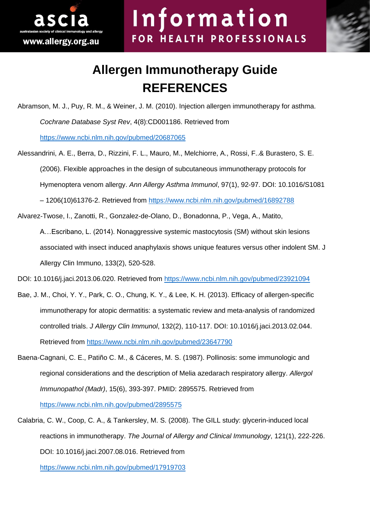

## **Allergen Immunotherapy Guide REFERENCES**

Abramson, M. J., Puy, R. M., & Weiner, J. M. (2010). Injection allergen immunotherapy for asthma. *Cochrane Database Syst Rev*, 4(8):CD001186. Retrieved from <https://www.ncbi.nlm.nih.gov/pubmed/20687065>

- Alessandrini, A. E., Berra, D., Rizzini, F. L., Mauro, M., Melchiorre, A., Rossi, F..& Burastero, S. E. (2006). Flexible approaches in the design of subcutaneous immunotherapy protocols for Hymenoptera venom allergy. *Ann Allergy Asthma Immunol*, 97(1), 92-97. DOI: 10.1016/S1081 – 1206(10)61376-2. Retrieved from<https://www.ncbi.nlm.nih.gov/pubmed/16892788>
- Alvarez-Twose, I., Zanotti, R., Gonzalez-de-Olano, D., Bonadonna, P., Vega, A., Matito, A…Escribano, L. (2014). Nonaggressive systemic mastocytosis (SM) without skin lesions associated with insect induced anaphylaxis shows unique features versus other indolent SM. J Allergy Clin Immuno, 133(2), 520-528.

DOI: 10.1016/j.jaci.2013.06.020. Retrieved from<https://www.ncbi.nlm.nih.gov/pubmed/23921094>

- Bae, J. M., Choi, Y. Y., Park, C. O., Chung, K. Y., & Lee, K. H. (2013). Efficacy of allergen-specific immunotherapy for atopic dermatitis: a systematic review and meta-analysis of randomized controlled trials. *J Allergy Clin Immunol*, 132(2), 110-117. DOI: 10.1016/j.jaci.2013.02.044. Retrieved from<https://www.ncbi.nlm.nih.gov/pubmed/23647790>
- Baena-Cagnani, C. E., Patiño C. M., & Cáceres, M. S. (1987). Pollinosis: some immunologic and regional considerations and the description of Melia azedarach respiratory allergy. *Allergol Immunopathol (Madr)*, 15(6), 393-397. PMID: 2895575. Retrieved from <https://www.ncbi.nlm.nih.gov/pubmed/2895575>
- Calabria, C. W., Coop, C. A., & Tankersley, M. S. (2008). The GILL study: glycerin-induced local reactions in immunotherapy. *The Journal of Allergy and Clinical Immunology*, 121(1), 222-226. DOI: 10.1016/j.jaci.2007.08.016. Retrieved from

<https://www.ncbi.nlm.nih.gov/pubmed/17919703>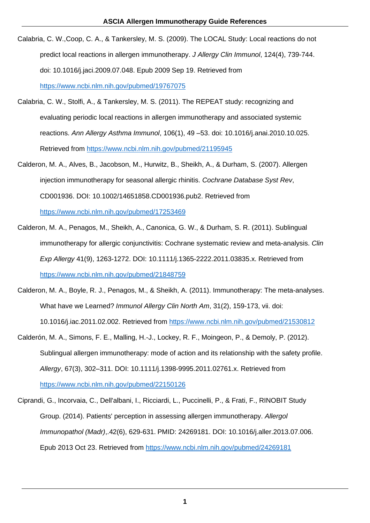- Calabria, C. W.,Coop, C. A., & Tankersley, M. S. (2009). The LOCAL Study: Local reactions do not predict local reactions in allergen immunotherapy. *J Allergy Clin Immunol*, 124(4), 739-744. doi: 10.1016/j.jaci.2009.07.048. Epub 2009 Sep 19. Retrieved from <https://www.ncbi.nlm.nih.gov/pubmed/19767075>
- Calabria, C. W., Stolfi, A., & Tankersley, M. S. (2011). The REPEAT study: recognizing and evaluating periodic local reactions in allergen immunotherapy and associated systemic reactions. *Ann Allergy Asthma Immunol*, 106(1), 49 –53. doi: 10.1016/j.anai.2010.10.025. Retrieved from <https://www.ncbi.nlm.nih.gov/pubmed/21195945>
- Calderon, M. A., Alves, B., Jacobson, M., Hurwitz, B., Sheikh, A., & Durham, S. (2007). Allergen injection immunotherapy for seasonal allergic rhinitis. *Cochrane Database Syst Rev*, CD001936. DOI: 10.1002/14651858.CD001936.pub2. Retrieved from <https://www.ncbi.nlm.nih.gov/pubmed/17253469>
- Calderon, M. A., Penagos, M., Sheikh, A., Canonica, G. W., & Durham, S. R. (2011). Sublingual immunotherapy for allergic conjunctivitis: Cochrane systematic review and meta-analysis. *Clin Exp Allergy* 41(9), 1263-1272. DOI: 10.1111/j.1365-2222.2011.03835.x. Retrieved from <https://www.ncbi.nlm.nih.gov/pubmed/21848759>
- Calderon, M. A., Boyle, R. J., Penagos, M., & Sheikh, A. (2011). Immunotherapy: The meta-analyses. What have we Learned? *Immunol Allergy Clin North Am*, 31(2), 159-173, vii. doi: 10.1016/j.iac.2011.02.002. Retrieved from <https://www.ncbi.nlm.nih.gov/pubmed/21530812>
- Calderón, M. A., Simons, F. E., Malling, H.-J., Lockey, R. F., Moingeon, P., & Demoly, P. (2012). Sublingual allergen immunotherapy: mode of action and its relationship with the safety profile. *Allergy*, 67(3), 302–311. DOI: 10.1111/j.1398-9995.2011.02761.x. Retrieved from <https://www.ncbi.nlm.nih.gov/pubmed/22150126>
- Ciprandi, G., Incorvaia, C., Dell'albani, I., Ricciardi, L., Puccinelli, P., & Frati, F., RINOBIT Study Group. (2014). Patients' perception in assessing allergen immunotherapy. *Allergol Immunopathol (Madr)*,.42(6), 629-631. PMID: 24269181. DOI: 10.1016/j.aller.2013.07.006. Epub 2013 Oct 23. Retrieved from <https://www.ncbi.nlm.nih.gov/pubmed/24269181>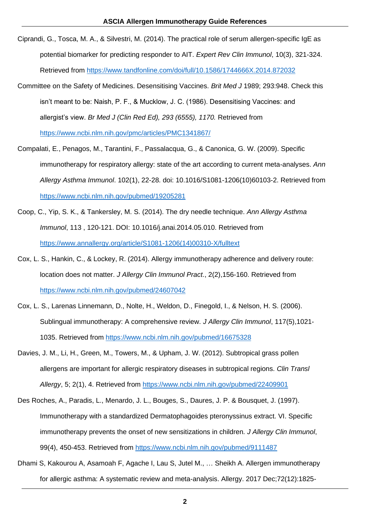- Ciprandi, G., Tosca, M. A., & Silvestri, M. (2014). The practical role of serum allergen-specific IgE as potential biomarker for predicting responder to AIT. *Expert Rev Clin Immunol*, 10(3), 321-324. Retrieved from<https://www.tandfonline.com/doi/full/10.1586/1744666X.2014.872032>
- Committee on the Safety of Medicines. Desensitising Vaccines. *Brit Med J* 1989; 293:948. Check this isn't meant to be: Naish, P. F., & Mucklow, J. C. (1986). Desensitising Vaccines: and allergist's view. *Br Med J (Clin Red Ed), 293 (6555), 1170.* Retrieved from <https://www.ncbi.nlm.nih.gov/pmc/articles/PMC1341867/>
- Compalati, E., Penagos, M., Tarantini, F., Passalacqua, G., & Canonica, G. W. (2009). Specific immunotherapy for respiratory allergy: state of the art according to current meta-analyses. *Ann Allergy Asthma Immunol*. 102(1), 22-28. doi: 10.1016/S1081-1206(10)60103-2. Retrieved from <https://www.ncbi.nlm.nih.gov/pubmed/19205281>
- Coop, C., Yip, S. K., & Tankersley, M. S. (2014). The dry needle technique. *Ann Allergy Asthma Immunol*, 113 , 120-121. DOI: 10.1016/j.anai.2014.05.010. Retrieved from [https://www.annallergy.org/article/S1081-1206\(14\)00310-X/fulltext](https://www.annallergy.org/article/S1081-1206(14)00310-X/fulltext)
- Cox, L. S., Hankin, C., & Lockey, R. (2014). Allergy immunotherapy adherence and delivery route: location does not matter. *J Allergy Clin Immunol Pract*., 2(2),156-160. Retrieved from <https://www.ncbi.nlm.nih.gov/pubmed/24607042>
- Cox, L. S., Larenas Linnemann, D., Nolte, H., Weldon, D., Finegold, I., & Nelson, H. S. (2006). Sublingual immunotherapy: A comprehensive review. *J Allergy Clin Immunol*, 117(5),1021- 1035. Retrieved from<https://www.ncbi.nlm.nih.gov/pubmed/16675328>
- Davies, J. M., Li, H., Green, M., Towers, M., & Upham, J. W. (2012). Subtropical grass pollen allergens are important for allergic respiratory diseases in subtropical regions. *Clin Transl Allergy*, 5; 2(1), 4. Retrieved from<https://www.ncbi.nlm.nih.gov/pubmed/22409901>
- Des Roches, A., Paradis, L., Menardo, J. L., Bouges, S., Daures, J. P. & Bousquet, J. (1997). Immunotherapy with a standardized Dermatophagoides pteronyssinus extract. VI. Specific immunotherapy prevents the onset of new sensitizations in children. *J Allergy Clin Immunol*, 99(4), 450-453. Retrieved from<https://www.ncbi.nlm.nih.gov/pubmed/9111487>
- Dhami S, Kakourou A, Asamoah F, Agache I, Lau S, Jutel M., … Sheikh A. Allergen immunotherapy for allergic asthma: A systematic review and meta-analysis. Allergy. 2017 Dec;72(12):1825-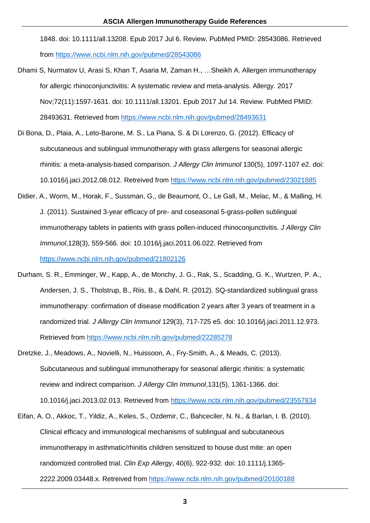1848. doi: 10.1111/all.13208. Epub 2017 Jul 6. Review. PubMed PMID: 28543086. Retrieved from<https://www.ncbi.nlm.nih.gov/pubmed/28543086>

- Dhami S, Nurmatov U, Arasi S, Khan T, Asaria M, Zaman H., …Sheikh A. Allergen immunotherapy for allergic rhinoconjunctivitis: A systematic review and meta-analysis. Allergy. 2017 Nov;72(11):1597-1631. doi: 10.1111/all.13201. Epub 2017 Jul 14. Review. PubMed PMID: 28493631. Retrieved from<https://www.ncbi.nlm.nih.gov/pubmed/28493631>
- Di Bona, D., Plaia, A., Leto-Barone, M. S., La Piana, S. & Di Lorenzo, G. (2012). Efficacy of subcutaneous and sublingual immunotherapy with grass allergens for seasonal allergic rhinitis: a meta-analysis-based comparison. *J Allergy Clin Immunol* 130(5), 1097-1107 e2. doi: 10.1016/j.jaci.2012.08.012. Retreived from<https://www.ncbi.nlm.nih.gov/pubmed/23021885>
- Didier, A., Worm, M., Horak, F., Sussman, G., de Beaumont, O., Le Gall, M., Melac, M., & Malling, H. J. (2011). Sustained 3-year efficacy of pre- and coseasonal 5-grass-pollen sublingual immunotherapy tablets in patients with grass pollen-induced rhinoconjunctivitis. *J Allergy Clin Immunol*,128(3), 559-566. doi: 10.1016/j.jaci.2011.06.022. Retrieved from <https://www.ncbi.nlm.nih.gov/pubmed/21802126>
- Durham, S. R., Emminger, W., Kapp, A., de Monchy, J. G., Rak, S., Scadding, G. K., Wurtzen, P. A., Andersen, J. S., Tholstrup, B., Riis, B., & Dahl, R. (2012). SQ-standardized sublingual grass immunotherapy: confirmation of disease modification 2 years after 3 years of treatment in a randomized trial. *J Allergy Clin Immunol* 129(3), 717-725 e5. doi: 10.1016/j.jaci.2011.12.973. Retrieved from<https://www.ncbi.nlm.nih.gov/pubmed/22285278>
- Dretzke, J., Meadows, A., Novielli, N., Huissoon, A., Fry-Smith, A., & Meads, C. (2013). Subcutaneous and sublingual immunotherapy for seasonal allergic rhinitis: a systematic review and indirect comparison. *J Allergy Clin Immunol*,131(5), 1361-1366. doi: 10.1016/j.jaci.2013.02.013. Retrieved from<https://www.ncbi.nlm.nih.gov/pubmed/23557834>
- Eifan, A. O., Akkoc, T., Yildiz, A., Keles, S., Ozdemir, C., Bahceciler, N. N., & Barlan, I. B. (2010). Clinical efficacy and immunological mechanisms of sublingual and subcutaneous immunotherapy in asthmatic/rhinitis children sensitized to house dust mite: an open randomized controlled trial. *Clin Exp Allergy*, 40(6), 922-932. doi: 10.1111/j.1365- 2222.2009.03448.x. Retreived from<https://www.ncbi.nlm.nih.gov/pubmed/20100188>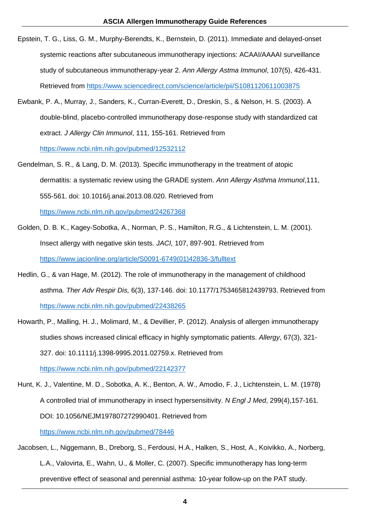- Epstein, T. G., Liss, G. M., Murphy-Berendts, K., Bernstein, D. (2011). Immediate and delayed-onset systemic reactions after subcutaneous immunotherapy injections: ACAAI/AAAAI surveillance study of subcutaneous immunotherapy-year 2. *Ann Allergy Astma Immunol*, 107(5), 426-431. Retrieved from<https://www.sciencedirect.com/science/article/pii/S1081120611003875>
- Ewbank, P. A., Murray, J., Sanders, K., Curran-Everett, D., Dreskin, S., & Nelson, H. S. (2003). A double-blind, placebo-controlled immunotherapy dose-response study with standardized cat extract. *J Allergy Clin Immunol*, 111, 155-161. Retrieved from <https://www.ncbi.nlm.nih.gov/pubmed/12532112>
- Gendelman, S. R., & Lang, D. M. (2013). Specific immunotherapy in the treatment of atopic dermatitis: a systematic review using the GRADE system. *Ann Allergy Asthma Immunol*,111, 555-561. doi: 10.1016/j.anai.2013.08.020. Retrieved from <https://www.ncbi.nlm.nih.gov/pubmed/24267368>
- Golden, D. B. K., Kagey-Sobotka, A., Norman, P. S., Hamilton, R.G., & Lichtenstein, L. M. (2001). Insect allergy with negative skin tests. *JACI,* 107, 897-901. Retrieved from [https://www.jacionline.org/article/S0091-6749\(01\)42836-3/fulltext](https://www.jacionline.org/article/S0091-6749(01)42836-3/fulltext)
- Hedlin, G., & van Hage, M. (2012). The role of immunotherapy in the management of childhood asthma. *Ther Adv Respir Dis,* 6(3), 137-146. doi: 10.1177/1753465812439793. Retrieved from <https://www.ncbi.nlm.nih.gov/pubmed/22438265>
- Howarth, P., Malling, H. J., Molimard, M., & Devillier, P. (2012). Analysis of allergen immunotherapy studies shows increased clinical efficacy in highly symptomatic patients. *Allergy*, 67(3), 321- 327. doi: 10.1111/j.1398-9995.2011.02759.x. Retrieved from

<https://www.ncbi.nlm.nih.gov/pubmed/22142377>

[Hunt, K. J.](https://www.ncbi.nlm.nih.gov/pubmed/?term=Hunt%20KJ%5BAuthor%5D&cauthor=true&cauthor_uid=78446), [Valentine, M. D.](https://www.ncbi.nlm.nih.gov/pubmed/?term=Valentine%20MD%5BAuthor%5D&cauthor=true&cauthor_uid=78446), [Sobotka, A. K.](https://www.ncbi.nlm.nih.gov/pubmed/?term=Sobotka%20AK%5BAuthor%5D&cauthor=true&cauthor_uid=78446), [Benton, A. W.](https://www.ncbi.nlm.nih.gov/pubmed/?term=Benton%20AW%5BAuthor%5D&cauthor=true&cauthor_uid=78446), [Amodio, F. J.](https://www.ncbi.nlm.nih.gov/pubmed/?term=Amodio%20FJ%5BAuthor%5D&cauthor=true&cauthor_uid=78446), [Lichtenstein, L. M.](https://www.ncbi.nlm.nih.gov/pubmed/?term=Lichtenstein%20LM%5BAuthor%5D&cauthor=true&cauthor_uid=78446) (1978) A controlled trial of immunotherapy in insect hypersensitivity. *N Engl J Med*, 299(4),157-161. DOI: 10.1056/NEJM197807272990401. Retrieved from <https://www.ncbi.nlm.nih.gov/pubmed/78446>

Jacobsen, L., Niggemann, B., Dreborg, S., Ferdousi, H.A., Halken, S., Host, A., Koivikko, A., Norberg, L.A., Valovirta, E., Wahn, U., & Moller, C. (2007). Specific immunotherapy has long-term preventive effect of seasonal and perennial asthma: 10-year follow-up on the PAT study.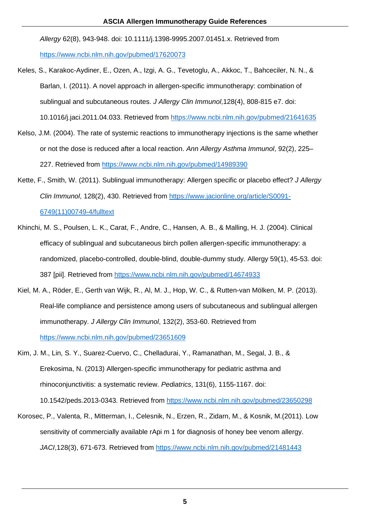*Allergy* 62(8), 943-948. doi: 10.1111/j.1398-9995.2007.01451.x. Retrieved from <https://www.ncbi.nlm.nih.gov/pubmed/17620073>

Keles, S., Karakoc-Aydiner, E., Ozen, A., Izgi, A. G., Tevetoglu, A., Akkoc, T., Bahceciler, N. N., & Barlan, I. (2011). A novel approach in allergen-specific immunotherapy: combination of sublingual and subcutaneous routes. *J Allergy Clin Immunol*,128(4), 808-815 e7. doi:

10.1016/j.jaci.2011.04.033. Retrieved from<https://www.ncbi.nlm.nih.gov/pubmed/21641635>

- Kelso, J.M. (2004). The rate of systemic reactions to immunotherapy injections is the same whether or not the dose is reduced after a local reaction. *Ann Allergy Asthma Immunol*, 92(2), 225– 227. Retrieved from<https://www.ncbi.nlm.nih.gov/pubmed/14989390>
- Kette, F., Smith, W. (2011). Sublingual immunotherapy: Allergen specific or placebo effect? *J Allergy Clin Immunol*, 128(2), 430. Retrieved from [https://www.jacionline.org/article/S0091-](https://www.jacionline.org/article/S0091-6749(11)00749-4/fulltext) [6749\(11\)00749-4/fulltext](https://www.jacionline.org/article/S0091-6749(11)00749-4/fulltext)
- Khinchi, M. S., Poulsen, L. K., Carat, F., Andre, C., Hansen, A. B., & Malling, H. J. (2004). Clinical efficacy of sublingual and subcutaneous birch pollen allergen-specific immunotherapy: a randomized, placebo-controlled, double-blind, double-dummy study. Allergy 59(1), 45-53. doi: 387 [pii]. Retrieved from<https://www.ncbi.nlm.nih.gov/pubmed/14674933>
- Kiel, M. A., Röder, E., Gerth van Wijk, R., Al, M. J., Hop, W. C., & Rutten-van Mölken, M. P. (2013). Real-life compliance and persistence among users of subcutaneous and sublingual allergen immunotherapy. *J Allergy Clin Immunol*, 132(2), 353-60. Retrieved from <https://www.ncbi.nlm.nih.gov/pubmed/23651609>
- Kim, J. M., Lin, S. Y., Suarez-Cuervo, C., Chelladurai, Y., Ramanathan, M., Segal, J. B., & Erekosima, N. (2013) Allergen-specific immunotherapy for pediatric asthma and rhinoconjunctivitis: a systematic review. *Pediatrics*, 131(6), 1155-1167. doi:

10.1542/peds.2013-0343. Retrieved from<https://www.ncbi.nlm.nih.gov/pubmed/23650298>

Korosec, P., Valenta, R., Mitterman, I., Celesnik, N., Erzen, R., Zidarn, M., & Kosnik, M.(2011). Low sensitivity of commercially available rApi m 1 for diagnosis of honey bee venom allergy. *JACI*,128(3), 671-673. Retrieved from<https://www.ncbi.nlm.nih.gov/pubmed/21481443>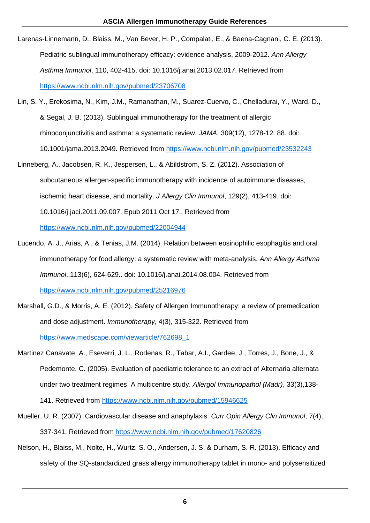- Larenas-Linnemann, D., Blaiss, M., Van Bever, H. P., Compalati, E., & Baena-Cagnani, C. E. (2013). Pediatric sublingual immunotherapy efficacy: evidence analysis, 2009-2012. *Ann Allergy Asthma Immunol*, 110, 402-415. doi: 10.1016/j.anai.2013.02.017. Retrieved from <https://www.ncbi.nlm.nih.gov/pubmed/23706708>
- Lin, S. Y., Erekosima, N., Kim, J.M., Ramanathan, M., Suarez-Cuervo, C., Chelladurai, Y., Ward, D., & Segal, J. B. (2013). Sublingual immunotherapy for the treatment of allergic rhinoconjunctivitis and asthma: a systematic review. *JAMA*, 309(12), 1278-12. 88. doi: 10.1001/jama.2013.2049. Retrieved from<https://www.ncbi.nlm.nih.gov/pubmed/23532243>
- Linneberg, A., Jacobsen, R. K., Jespersen, L., & Abildstrom, S. Z. (2012). Association of subcutaneous allergen-specific immunotherapy with incidence of autoimmune diseases, ischemic heart disease, and mortality. *J Allergy Clin Immunol*, 129(2), 413-419. doi: 10.1016/j.jaci.2011.09.007. Epub 2011 Oct 17.. Retrieved from <https://www.ncbi.nlm.nih.gov/pubmed/22004944>
- Lucendo, A. J., Arias, A., & Tenias, J.M. (2014). Relation between eosinophilic esophagitis and oral immunotherapy for food allergy: a systematic review with meta-analysis. *Ann Allergy Asthma Immunol*,.113(6), 624-629.. doi: 10.1016/j.anai.2014.08.004. Retrieved from <https://www.ncbi.nlm.nih.gov/pubmed/25216976>
- Marshall, G.D., & Morris, A. E. (2012). Safety of Allergen Immunotherapy: a review of premedication and dose adjustment. *Immunotherapy*, 4(3), 315-322. Retrieved from [https://www.medscape.com/viewarticle/762698\\_1](https://www.medscape.com/viewarticle/762698_1)
- Martinez Canavate, A., Eseverri, J. L., Rodenas, R., Tabar, A.I., Gardee, J., Torres, J., Bone, J., & Pedemonte, C. (2005). Evaluation of paediatric tolerance to an extract of Alternaria alternata under two treatment regimes. A multicentre study. *Allergol Immunopathol (Madr)*, 33(3),138-

141. Retrieved from<https://www.ncbi.nlm.nih.gov/pubmed/15946625>

- Mueller, U. R. (2007). Cardiovascular disease and anaphylaxis. *Curr Opin Allergy Clin Immunol*, 7(4), 337-341. Retrieved from<https://www.ncbi.nlm.nih.gov/pubmed/17620826>
- Nelson, H., Blaiss, M., Nolte, H., Wurtz, S. O., Andersen, J. S. & Durham, S. R. (2013). Efficacy and safety of the SQ-standardized grass allergy immunotherapy tablet in mono- and polysensitized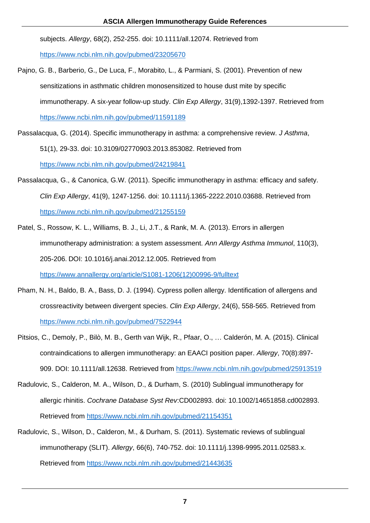subjects. *Allergy*, 68(2), 252-255. doi: 10.1111/all.12074. Retrieved from <https://www.ncbi.nlm.nih.gov/pubmed/23205670>

- Pajno, G. B., Barberio, G., De Luca, F., Morabito, L., & Parmiani, S. (2001). Prevention of new sensitizations in asthmatic children monosensitized to house dust mite by specific immunotherapy. A six-year follow-up study. *Clin Exp Allergy*, 31(9),1392-1397. Retrieved from <https://www.ncbi.nlm.nih.gov/pubmed/11591189>
- Passalacqua, G. (2014). Specific immunotherapy in asthma: a comprehensive review. *J Asthma*, 51(1), 29-33. doi: 10.3109/02770903.2013.853082. Retrieved from <https://www.ncbi.nlm.nih.gov/pubmed/24219841>
- Passalacqua, G., & Canonica, G.W. (2011). Specific immunotherapy in asthma: efficacy and safety. *Clin Exp Allergy*, 41(9), 1247-1256. doi: 10.1111/j.1365-2222.2010.03688. Retrieved from <https://www.ncbi.nlm.nih.gov/pubmed/21255159>
- Patel, S., Rossow, K. L., Williams, B. J., Li, J.T., & Rank, M. A. (2013). Errors in allergen immunotherapy administration: a system assessment. *Ann Allergy Asthma Immunol*, 110(3), 205-206. DOI: 10.1016/j.anai.2012.12.005. Retrieved from [https://www.annallergy.org/article/S1081-1206\(12\)00996-9/fulltext](https://www.annallergy.org/article/S1081-1206(12)00996-9/fulltext)
- Pham, N. H., Baldo, B. A., Bass, D. J. (1994). Cypress pollen allergy. Identification of allergens and crossreactivity between divergent species. *Clin Exp Allergy*, 24(6), 558-565. Retrieved from <https://www.ncbi.nlm.nih.gov/pubmed/7522944>
- Pitsios, C., Demoly, P., Bilò, M. B., Gerth van Wijk, R., Pfaar, O., … Calderón, M. A. (2015). Clinical contraindications to allergen immunotherapy: an EAACI position paper. *Allergy*, 70(8):897- 909. DOI: 10.1111/all.12638. Retrieved from<https://www.ncbi.nlm.nih.gov/pubmed/25913519>
- Radulovic, S., Calderon, M. A., Wilson, D., & Durham, S. (2010) Sublingual immunotherapy for allergic rhinitis. *Cochrane Database Syst Rev*:CD002893. doi: 10.1002/14651858.cd002893. Retrieved from<https://www.ncbi.nlm.nih.gov/pubmed/21154351>
- Radulovic, S., Wilson, D., Calderon, M., & Durham, S. (2011). Systematic reviews of sublingual immunotherapy (SLIT). *Allergy*, 66(6), 740-752. doi: 10.1111/j.1398-9995.2011.02583.x. Retrieved from<https://www.ncbi.nlm.nih.gov/pubmed/21443635>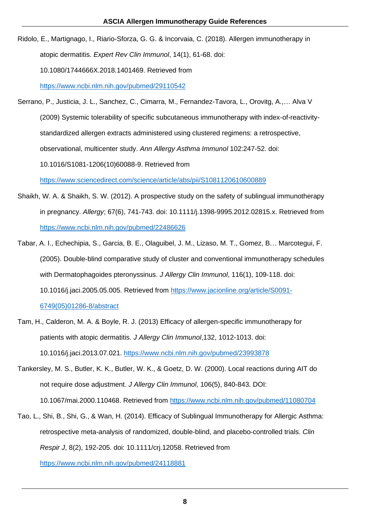Ridolo, E., Martignago, I., Riario-Sforza, G. G. & Incorvaia, C. (2018). Allergen immunotherapy in atopic dermatitis. *Expert Rev Clin Immunol*, 14(1), 61-68. doi: 10.1080/1744666X.2018.1401469. Retrieved from

<https://www.ncbi.nlm.nih.gov/pubmed/29110542>

- Serrano, P., Justicia, J. L., Sanchez, C., Cimarra, M., Fernandez-Tavora, L., Orovitg, A.,… Alva V (2009) Systemic tolerability of specific subcutaneous immunotherapy with index-of-reactivitystandardized allergen extracts administered using clustered regimens: a retrospective, observational, multicenter study. *Ann Allergy Asthma Immunol* 102:247-52. doi: 10.1016/S1081-1206(10)60088-9. Retrieved from <https://www.sciencedirect.com/science/article/abs/pii/S1081120610600889>
- Shaikh, W. A. & Shaikh, S. W. (2012). A prospective study on the safety of sublingual immunotherapy in pregnancy. *Allergy*; 67(6), 741-743. doi: 10.1111/j.1398-9995.2012.02815.x. Retrieved from <https://www.ncbi.nlm.nih.gov/pubmed/22486626>
- Tabar, A. I., Echechipia, S., Garcia, B. E., Olaguibel, J. M., Lizaso, M. T., Gomez, B… Marcotegui, F. (2005). Double-blind comparative study of cluster and conventional immunotherapy schedules with Dermatophagoides pteronyssinus. *J Allergy Clin Immunol*, 116(1), 109-118. doi: 10.1016/j.jaci.2005.05.005. Retrieved from [https://www.jacionline.org/article/S0091-](https://www.jacionline.org/article/S0091-6749(05)01286-8/abstract) [6749\(05\)01286-8/abstract](https://www.jacionline.org/article/S0091-6749(05)01286-8/abstract)
- Tam, H., Calderon, M. A. & Boyle, R. J. (2013) Efficacy of allergen-specific immunotherapy for patients with atopic dermatitis. *J Allergy Clin Immunol*,132, 1012-1013. doi: 10.1016/j.jaci.2013.07.021. <https://www.ncbi.nlm.nih.gov/pubmed/23993878>
- Tankersley, M. S., Butler, K. K., Butler, W. K., & Goetz, D. W. (2000). Local reactions during AIT do not require dose adjustment. *J Allergy Clin Immunol*, 106(5), 840-843. DOI: 10.1067/mai.2000.110468. Retrieved from<https://www.ncbi.nlm.nih.gov/pubmed/11080704>
- Tao, L., Shi, B., Shi, G., & Wan, H. (2014). Efficacy of Sublingual Immunotherapy for Allergic Asthma: retrospective meta-analysis of randomized, double-blind, and placebo-controlled trials. *Clin Respir J*, 8(2), 192-205. doi: 10.1111/crj.12058. Retrieved from <https://www.ncbi.nlm.nih.gov/pubmed/24118881>